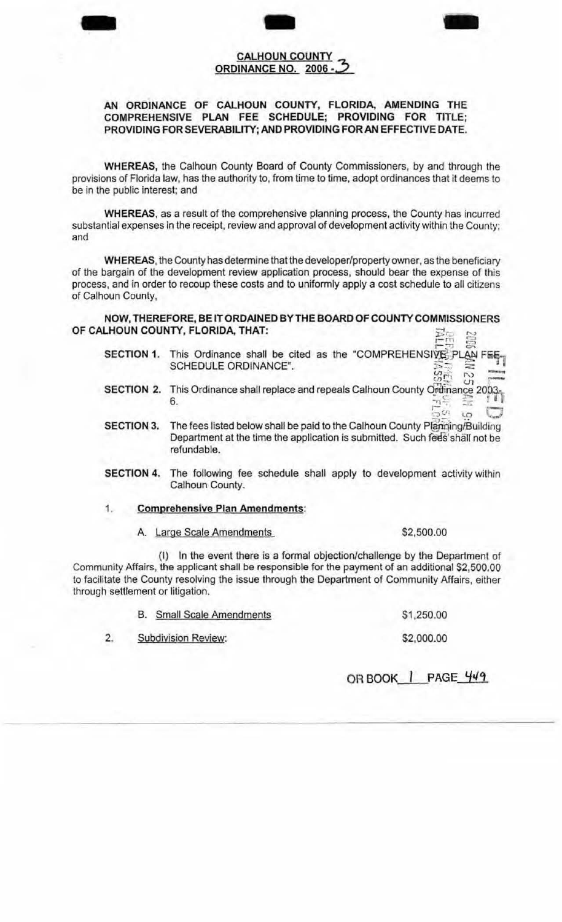

## **CALHOUN COUNTY ORDINANCE NO. 2006 -**

## **AN ORDINANCE OF CALHOUN COUNTY, FLORIDA, AMENDING THE COMPREHENSIVE PLAN FEE SCHEDULE; PROVIDING FOR TITLE; PROVIDING FOR SEVERABILITY; AND PROVIDING FORAN EFFECTIVE DATE.**

**WHEREAS,** the Calhoun County Board of County Commissioners, by and through the provisions of Florida law, has the authority to, from time to time, adopt ordinances that it deems to be in the public interest; and

**WHEREAS,** as a result of the comprehensive planning process, the County has incurred substantial expenses in the receipt, review and approval of development activity within the County; and

**WHEREAS,** the County has determine that the developer/property owner, as the beneficiary of the bargain of the development review application process, should bear the expense of this process, and in order to recoup these costs and to uniformly apply a cost schedule to all citizens of Calhoun County,

**NOW, THEREFORE, BE IT ORDAINED BY THE BOARD OF COUNTY COMMISSIONERS OF CALHOUN COUNTY, FLORIDA, THAT:**  $R$  $\frac{12\%}{12\%}$  ,  $\frac{12\%}{12\%}$ 

- **SECTION 1.** This Ordinance shall be cited as the "COMPREHENSIVE PLAN FEE-This Ordinance shall be cited as the "COMPREHENSIVE PLAN FE<br>SCHEDULE ORDINANCE".<br>*SCHEDULE ORDINANCE"*.
- **SECTION 2.** This Ordinance shall replace and repeals Calhoun County Ordinance 200h<br>6. 6. r)≒ আ<br>ს- სი
- **SECTION 3.** The fees listed below shall be paid to the Calhoun County Planning/Building Department at the time the application is submitted. Such fees shall not be refundable.
- **SECTION 4.** The following fee schedule shall apply to development activity within Calhoun County.
- 1. **Comprehensive Plan Amendments:** 
	- A. Large Scale Amendments \$2,500.00

-

(I) In the event there is a formal objection/challenge by the Department of Community Affairs, the applicant shall be responsible for the payment of an additional \$2,500.00 to facilitate the County resolving the issue through the Department of Community Affairs, either through settlement or litigation.

|    | <b>B.</b> Small Scale Amendments | \$1,250.00 |
|----|----------------------------------|------------|
| 2. | <b>Subdivision Review:</b>       | \$2,000.00 |

**OR BOOK I PAGE 'ft/'t**